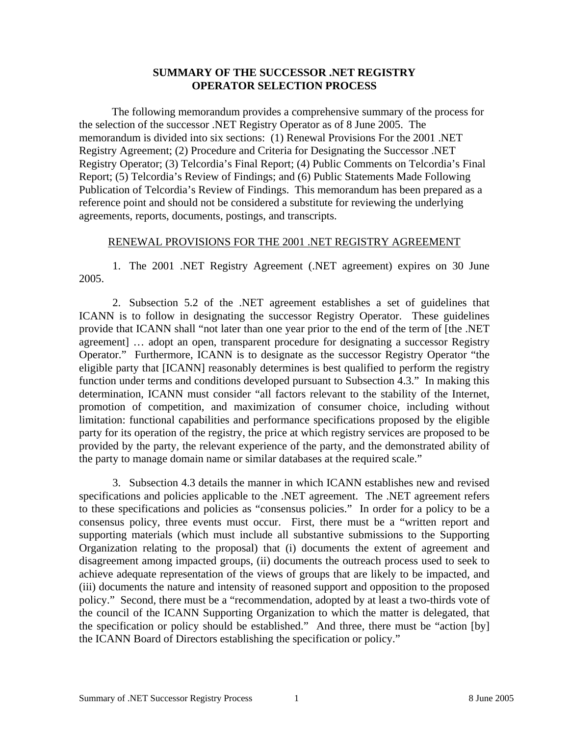## **SUMMARY OF THE SUCCESSOR .NET REGISTRY OPERATOR SELECTION PROCESS**

 The following memorandum provides a comprehensive summary of the process for the selection of the successor .NET Registry Operator as of 8 June 2005. The memorandum is divided into six sections: (1) Renewal Provisions For the 2001 .NET Registry Agreement; (2) Procedure and Criteria for Designating the Successor .NET Registry Operator; (3) Telcordia's Final Report; (4) Public Comments on Telcordia's Final Report; (5) Telcordia's Review of Findings; and (6) Public Statements Made Following Publication of Telcordia's Review of Findings. This memorandum has been prepared as a reference point and should not be considered a substitute for reviewing the underlying agreements, reports, documents, postings, and transcripts.

## RENEWAL PROVISIONS FOR THE 2001 .NET REGISTRY AGREEMENT

1. The 2001 .NET Registry Agreement (.NET agreement) expires on 30 June 2005.

2. Subsection 5.2 of the .NET agreement establishes a set of guidelines that ICANN is to follow in designating the successor Registry Operator. These guidelines provide that ICANN shall "not later than one year prior to the end of the term of [the .NET agreement] … adopt an open, transparent procedure for designating a successor Registry Operator." Furthermore, ICANN is to designate as the successor Registry Operator "the eligible party that [ICANN] reasonably determines is best qualified to perform the registry function under terms and conditions developed pursuant to Subsection 4.3." In making this determination, ICANN must consider "all factors relevant to the stability of the Internet, promotion of competition, and maximization of consumer choice, including without limitation: functional capabilities and performance specifications proposed by the eligible party for its operation of the registry, the price at which registry services are proposed to be provided by the party, the relevant experience of the party, and the demonstrated ability of the party to manage domain name or similar databases at the required scale."

3. Subsection 4.3 details the manner in which ICANN establishes new and revised specifications and policies applicable to the .NET agreement. The .NET agreement refers to these specifications and policies as "consensus policies." In order for a policy to be a consensus policy, three events must occur. First, there must be a "written report and supporting materials (which must include all substantive submissions to the Supporting Organization relating to the proposal) that (i) documents the extent of agreement and disagreement among impacted groups, (ii) documents the outreach process used to seek to achieve adequate representation of the views of groups that are likely to be impacted, and (iii) documents the nature and intensity of reasoned support and opposition to the proposed policy." Second, there must be a "recommendation, adopted by at least a two-thirds vote of the council of the ICANN Supporting Organization to which the matter is delegated, that the specification or policy should be established." And three, there must be "action [by] the ICANN Board of Directors establishing the specification or policy."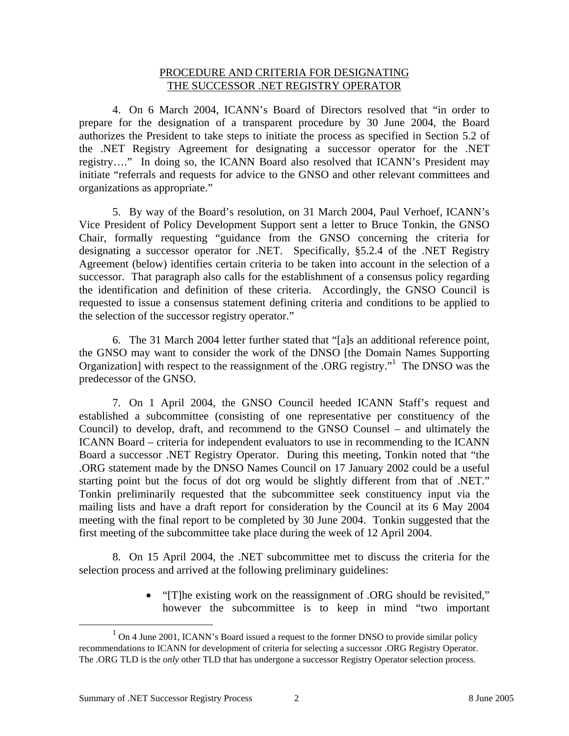### PROCEDURE AND CRITERIA FOR DESIGNATING THE SUCCESSOR .NET REGISTRY OPERATOR

4. On 6 March 2004, ICANN's Board of Directors resolved that "in order to prepare for the designation of a transparent procedure by 30 June 2004, the Board authorizes the President to take steps to initiate the process as specified in Section 5.2 of the .NET Registry Agreement for designating a successor operator for the .NET registry…." In doing so, the ICANN Board also resolved that ICANN's President may initiate "referrals and requests for advice to the GNSO and other relevant committees and organizations as appropriate."

5. By way of the Board's resolution, on 31 March 2004, Paul Verhoef, ICANN's Vice President of Policy Development Support sent a letter to Bruce Tonkin, the GNSO Chair, formally requesting "guidance from the GNSO concerning the criteria for designating a successor operator for .NET. Specifically, §5.2.4 of the .NET Registry Agreement (below) identifies certain criteria to be taken into account in the selection of a successor. That paragraph also calls for the establishment of a consensus policy regarding the identification and definition of these criteria. Accordingly, the GNSO Council is requested to issue a consensus statement defining criteria and conditions to be applied to the selection of the successor registry operator."

6. The 31 March 2004 letter further stated that "[a]s an additional reference point, the GNSO may want to consider the work of the DNSO [the Domain Names Supporting Organization] with respect to the reassignment of the .ORG registry." The DNSO was the predecessor of the GNSO.

7. On 1 April 2004, the GNSO Council heeded ICANN Staff's request and established a subcommittee (consisting of one representative per constituency of the Council) to develop, draft, and recommend to the GNSO Counsel – and ultimately the ICANN Board – criteria for independent evaluators to use in recommending to the ICANN Board a successor .NET Registry Operator. During this meeting, Tonkin noted that "the .ORG statement made by the DNSO Names Council on 17 January 2002 could be a useful starting point but the focus of dot org would be slightly different from that of .NET." Tonkin preliminarily requested that the subcommittee seek constituency input via the mailing lists and have a draft report for consideration by the Council at its 6 May 2004 meeting with the final report to be completed by 30 June 2004. Tonkin suggested that the first meeting of the subcommittee take place during the week of 12 April 2004.

8. On 15 April 2004, the .NET subcommittee met to discuss the criteria for the selection process and arrived at the following preliminary guidelines:

> • "[T]he existing work on the reassignment of .ORG should be revisited," however the subcommittee is to keep in mind "two important

 $\frac{1}{1}$  $1$  On 4 June 2001, ICANN's Board issued a request to the former DNSO to provide similar policy recommendations to ICANN for development of criteria for selecting a successor .ORG Registry Operator. The .ORG TLD is the *only* other TLD that has undergone a successor Registry Operator selection process.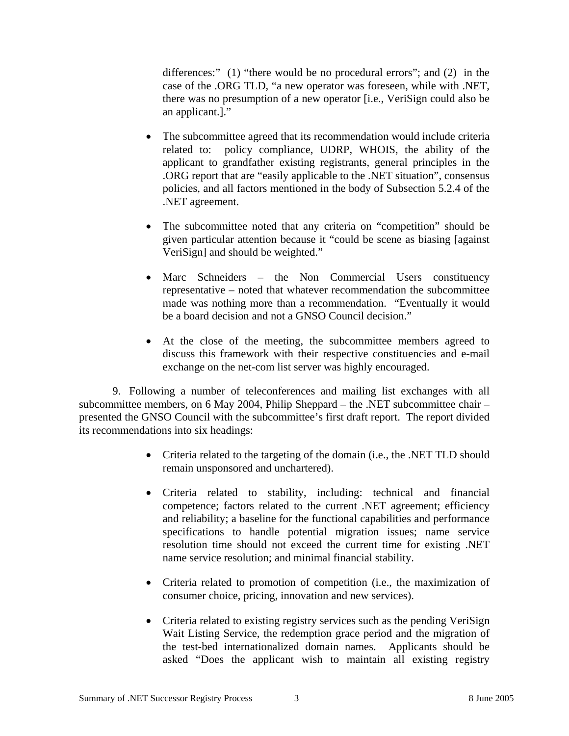differences:" (1) "there would be no procedural errors"; and (2) in the case of the .ORG TLD, "a new operator was foreseen, while with .NET, there was no presumption of a new operator [i.e., VeriSign could also be an applicant.]."

- The subcommittee agreed that its recommendation would include criteria related to: policy compliance, UDRP, WHOIS, the ability of the applicant to grandfather existing registrants, general principles in the .ORG report that are "easily applicable to the .NET situation", consensus policies, and all factors mentioned in the body of Subsection 5.2.4 of the .NET agreement.
- The subcommittee noted that any criteria on "competition" should be given particular attention because it "could be scene as biasing [against VeriSign] and should be weighted."
- Marc Schneiders the Non Commercial Users constituency representative – noted that whatever recommendation the subcommittee made was nothing more than a recommendation. "Eventually it would be a board decision and not a GNSO Council decision."
- At the close of the meeting, the subcommittee members agreed to discuss this framework with their respective constituencies and e-mail exchange on the net-com list server was highly encouraged.

9. Following a number of teleconferences and mailing list exchanges with all subcommittee members, on 6 May 2004, Philip Sheppard – the .NET subcommittee chair – presented the GNSO Council with the subcommittee's first draft report. The report divided its recommendations into six headings:

- Criteria related to the targeting of the domain (i.e., the .NET TLD should remain unsponsored and unchartered).
- Criteria related to stability, including: technical and financial competence; factors related to the current .NET agreement; efficiency and reliability; a baseline for the functional capabilities and performance specifications to handle potential migration issues; name service resolution time should not exceed the current time for existing .NET name service resolution; and minimal financial stability.
- Criteria related to promotion of competition (i.e., the maximization of consumer choice, pricing, innovation and new services).
- Criteria related to existing registry services such as the pending VeriSign Wait Listing Service, the redemption grace period and the migration of the test-bed internationalized domain names. Applicants should be asked "Does the applicant wish to maintain all existing registry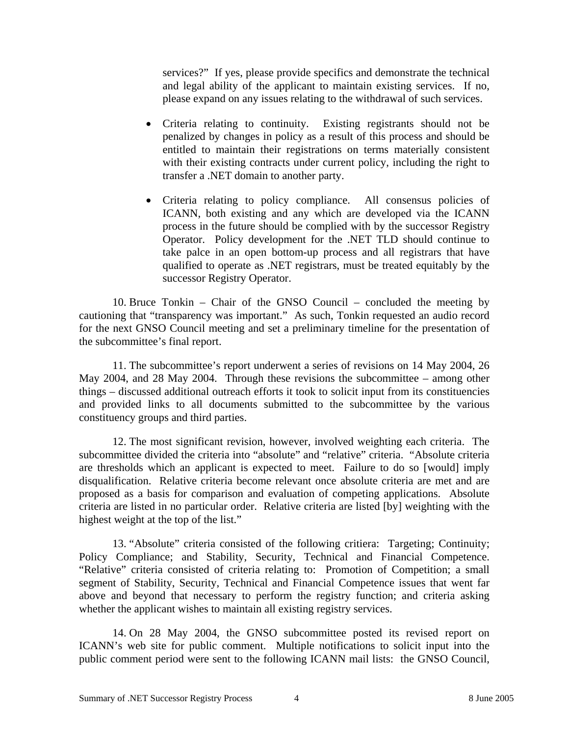services?" If yes, please provide specifics and demonstrate the technical and legal ability of the applicant to maintain existing services. If no, please expand on any issues relating to the withdrawal of such services.

- Criteria relating to continuity. Existing registrants should not be penalized by changes in policy as a result of this process and should be entitled to maintain their registrations on terms materially consistent with their existing contracts under current policy, including the right to transfer a .NET domain to another party.
- Criteria relating to policy compliance. All consensus policies of ICANN, both existing and any which are developed via the ICANN process in the future should be complied with by the successor Registry Operator. Policy development for the .NET TLD should continue to take palce in an open bottom-up process and all registrars that have qualified to operate as .NET registrars, must be treated equitably by the successor Registry Operator.

10. Bruce Tonkin – Chair of the GNSO Council – concluded the meeting by cautioning that "transparency was important." As such, Tonkin requested an audio record for the next GNSO Council meeting and set a preliminary timeline for the presentation of the subcommittee's final report.

11. The subcommittee's report underwent a series of revisions on 14 May 2004, 26 May 2004, and 28 May 2004. Through these revisions the subcommittee – among other things – discussed additional outreach efforts it took to solicit input from its constituencies and provided links to all documents submitted to the subcommittee by the various constituency groups and third parties.

12. The most significant revision, however, involved weighting each criteria. The subcommittee divided the criteria into "absolute" and "relative" criteria. "Absolute criteria are thresholds which an applicant is expected to meet. Failure to do so [would] imply disqualification. Relative criteria become relevant once absolute criteria are met and are proposed as a basis for comparison and evaluation of competing applications. Absolute criteria are listed in no particular order. Relative criteria are listed [by] weighting with the highest weight at the top of the list."

13. "Absolute" criteria consisted of the following critiera: Targeting; Continuity; Policy Compliance; and Stability, Security, Technical and Financial Competence. "Relative" criteria consisted of criteria relating to: Promotion of Competition; a small segment of Stability, Security, Technical and Financial Competence issues that went far above and beyond that necessary to perform the registry function; and criteria asking whether the applicant wishes to maintain all existing registry services.

14. On 28 May 2004, the GNSO subcommittee posted its revised report on ICANN's web site for public comment. Multiple notifications to solicit input into the public comment period were sent to the following ICANN mail lists: the GNSO Council,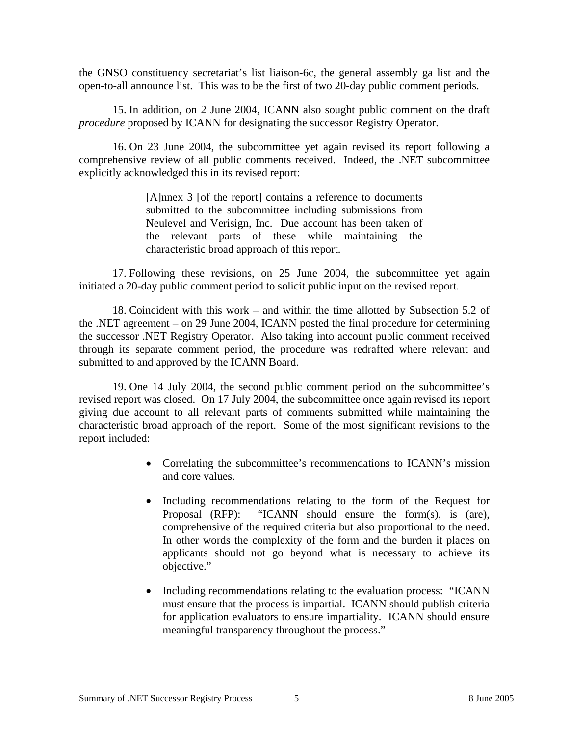the GNSO constituency secretariat's list liaison-6c, the general assembly ga list and the open-to-all announce list. This was to be the first of two 20-day public comment periods.

15. In addition, on 2 June 2004, ICANN also sought public comment on the draft *procedure* proposed by ICANN for designating the successor Registry Operator.

16. On 23 June 2004, the subcommittee yet again revised its report following a comprehensive review of all public comments received. Indeed, the .NET subcommittee explicitly acknowledged this in its revised report:

> [A]nnex 3 [of the report] contains a reference to documents submitted to the subcommittee including submissions from Neulevel and Verisign, Inc. Due account has been taken of the relevant parts of these while maintaining the characteristic broad approach of this report.

17. Following these revisions, on 25 June 2004, the subcommittee yet again initiated a 20-day public comment period to solicit public input on the revised report.

18. Coincident with this work – and within the time allotted by Subsection 5.2 of the .NET agreement – on 29 June 2004, ICANN posted the final procedure for determining the successor .NET Registry Operator. Also taking into account public comment received through its separate comment period, the procedure was redrafted where relevant and submitted to and approved by the ICANN Board.

19. One 14 July 2004, the second public comment period on the subcommittee's revised report was closed. On 17 July 2004, the subcommittee once again revised its report giving due account to all relevant parts of comments submitted while maintaining the characteristic broad approach of the report. Some of the most significant revisions to the report included:

- Correlating the subcommittee's recommendations to ICANN's mission and core values.
- Including recommendations relating to the form of the Request for Proposal (RFP): "ICANN should ensure the form(s), is (are), comprehensive of the required criteria but also proportional to the need. In other words the complexity of the form and the burden it places on applicants should not go beyond what is necessary to achieve its objective."
- Including recommendations relating to the evaluation process: "ICANN must ensure that the process is impartial. ICANN should publish criteria for application evaluators to ensure impartiality. ICANN should ensure meaningful transparency throughout the process."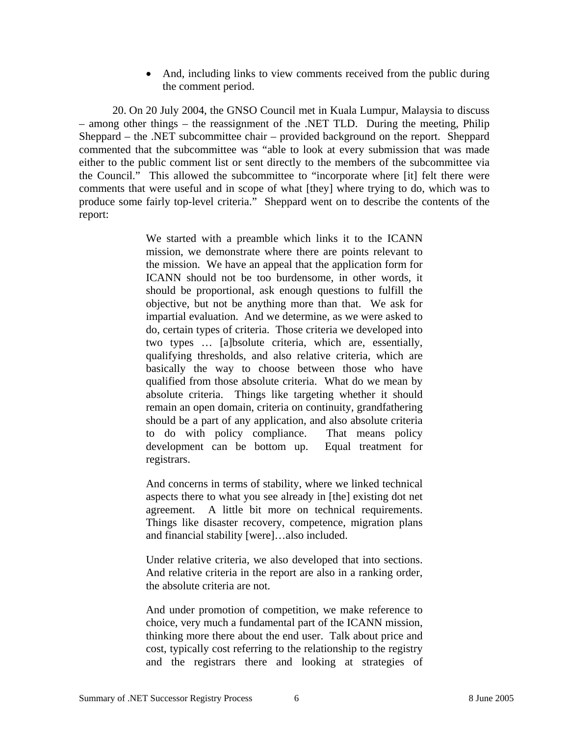• And, including links to view comments received from the public during the comment period.

20. On 20 July 2004, the GNSO Council met in Kuala Lumpur, Malaysia to discuss – among other things – the reassignment of the .NET TLD. During the meeting, Philip Sheppard – the .NET subcommittee chair – provided background on the report. Sheppard commented that the subcommittee was "able to look at every submission that was made either to the public comment list or sent directly to the members of the subcommittee via the Council." This allowed the subcommittee to "incorporate where [it] felt there were comments that were useful and in scope of what [they] where trying to do, which was to produce some fairly top-level criteria." Sheppard went on to describe the contents of the report:

> We started with a preamble which links it to the ICANN mission, we demonstrate where there are points relevant to the mission. We have an appeal that the application form for ICANN should not be too burdensome, in other words, it should be proportional, ask enough questions to fulfill the objective, but not be anything more than that. We ask for impartial evaluation. And we determine, as we were asked to do, certain types of criteria. Those criteria we developed into two types … [a]bsolute criteria, which are, essentially, qualifying thresholds, and also relative criteria, which are basically the way to choose between those who have qualified from those absolute criteria. What do we mean by absolute criteria. Things like targeting whether it should remain an open domain, criteria on continuity, grandfathering should be a part of any application, and also absolute criteria to do with policy compliance. That means policy development can be bottom up. Equal treatment for registrars.

> And concerns in terms of stability, where we linked technical aspects there to what you see already in [the] existing dot net agreement. A little bit more on technical requirements. Things like disaster recovery, competence, migration plans and financial stability [were]…also included.

> Under relative criteria, we also developed that into sections. And relative criteria in the report are also in a ranking order, the absolute criteria are not.

> And under promotion of competition, we make reference to choice, very much a fundamental part of the ICANN mission, thinking more there about the end user. Talk about price and cost, typically cost referring to the relationship to the registry and the registrars there and looking at strategies of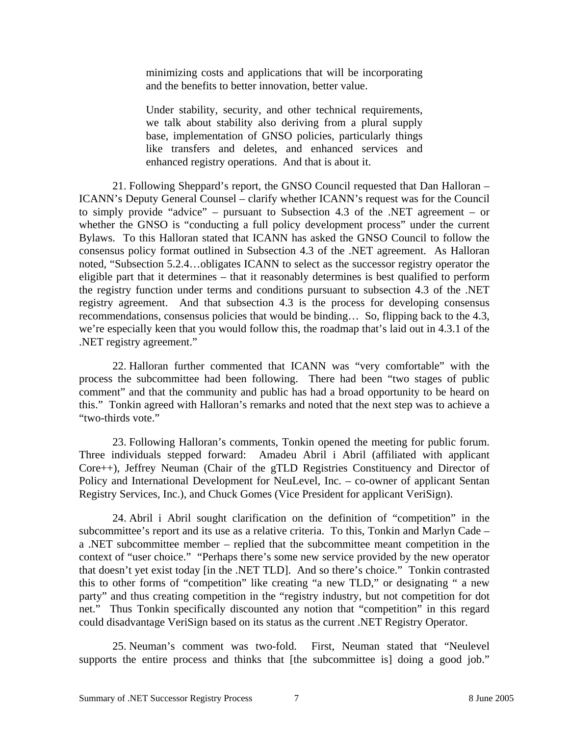minimizing costs and applications that will be incorporating and the benefits to better innovation, better value.

Under stability, security, and other technical requirements, we talk about stability also deriving from a plural supply base, implementation of GNSO policies, particularly things like transfers and deletes, and enhanced services and enhanced registry operations. And that is about it.

21. Following Sheppard's report, the GNSO Council requested that Dan Halloran – ICANN's Deputy General Counsel – clarify whether ICANN's request was for the Council to simply provide "advice" – pursuant to Subsection 4.3 of the .NET agreement – or whether the GNSO is "conducting a full policy development process" under the current Bylaws. To this Halloran stated that ICANN has asked the GNSO Council to follow the consensus policy format outlined in Subsection 4.3 of the .NET agreement. As Halloran noted, "Subsection 5.2.4…obligates ICANN to select as the successor registry operator the eligible part that it determines – that it reasonably determines is best qualified to perform the registry function under terms and conditions pursuant to subsection 4.3 of the .NET registry agreement. And that subsection 4.3 is the process for developing consensus recommendations, consensus policies that would be binding… So, flipping back to the 4.3, we're especially keen that you would follow this, the roadmap that's laid out in 4.3.1 of the .NET registry agreement."

22. Halloran further commented that ICANN was "very comfortable" with the process the subcommittee had been following. There had been "two stages of public comment" and that the community and public has had a broad opportunity to be heard on this." Tonkin agreed with Halloran's remarks and noted that the next step was to achieve a "two-thirds vote."

23. Following Halloran's comments, Tonkin opened the meeting for public forum. Three individuals stepped forward: Amadeu Abril i Abril (affiliated with applicant Core++), Jeffrey Neuman (Chair of the gTLD Registries Constituency and Director of Policy and International Development for NeuLevel, Inc. – co-owner of applicant Sentan Registry Services, Inc.), and Chuck Gomes (Vice President for applicant VeriSign).

24. Abril i Abril sought clarification on the definition of "competition" in the subcommittee's report and its use as a relative criteria. To this, Tonkin and Marlyn Cade – a .NET subcommittee member – replied that the subcommittee meant competition in the context of "user choice." "Perhaps there's some new service provided by the new operator that doesn't yet exist today [in the .NET TLD]. And so there's choice." Tonkin contrasted this to other forms of "competition" like creating "a new TLD," or designating " a new party" and thus creating competition in the "registry industry, but not competition for dot net." Thus Tonkin specifically discounted any notion that "competition" in this regard could disadvantage VeriSign based on its status as the current .NET Registry Operator.

25. Neuman's comment was two-fold. First, Neuman stated that "Neulevel supports the entire process and thinks that [the subcommittee is] doing a good job."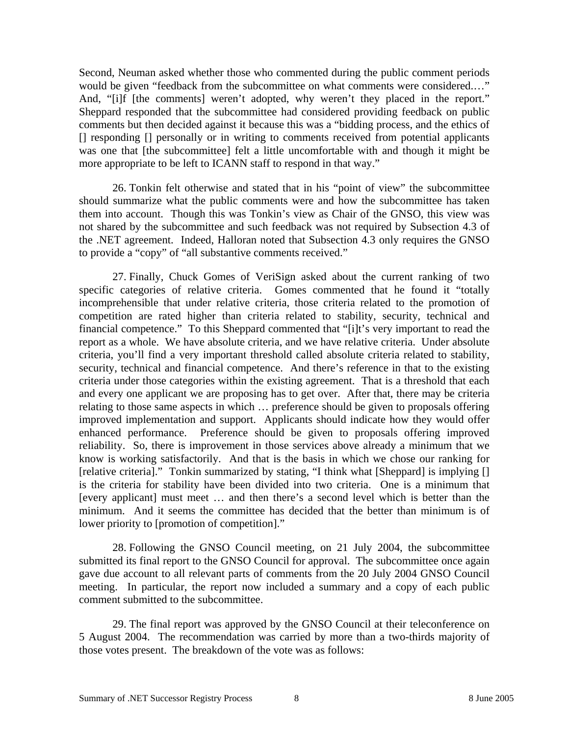Second, Neuman asked whether those who commented during the public comment periods would be given "feedback from the subcommittee on what comments were considered.…" And, "[i]f [the comments] weren't adopted, why weren't they placed in the report." Sheppard responded that the subcommittee had considered providing feedback on public comments but then decided against it because this was a "bidding process, and the ethics of [] responding [] personally or in writing to comments received from potential applicants was one that [the subcommittee] felt a little uncomfortable with and though it might be more appropriate to be left to ICANN staff to respond in that way."

26. Tonkin felt otherwise and stated that in his "point of view" the subcommittee should summarize what the public comments were and how the subcommittee has taken them into account. Though this was Tonkin's view as Chair of the GNSO, this view was not shared by the subcommittee and such feedback was not required by Subsection 4.3 of the .NET agreement. Indeed, Halloran noted that Subsection 4.3 only requires the GNSO to provide a "copy" of "all substantive comments received."

27. Finally, Chuck Gomes of VeriSign asked about the current ranking of two specific categories of relative criteria. Gomes commented that he found it "totally incomprehensible that under relative criteria, those criteria related to the promotion of competition are rated higher than criteria related to stability, security, technical and financial competence." To this Sheppard commented that "[i]t's very important to read the report as a whole. We have absolute criteria, and we have relative criteria. Under absolute criteria, you'll find a very important threshold called absolute criteria related to stability, security, technical and financial competence. And there's reference in that to the existing criteria under those categories within the existing agreement. That is a threshold that each and every one applicant we are proposing has to get over. After that, there may be criteria relating to those same aspects in which … preference should be given to proposals offering improved implementation and support. Applicants should indicate how they would offer enhanced performance. Preference should be given to proposals offering improved reliability. So, there is improvement in those services above already a minimum that we know is working satisfactorily. And that is the basis in which we chose our ranking for [relative criteria]." Tonkin summarized by stating, "I think what [Sheppard] is implying [] is the criteria for stability have been divided into two criteria. One is a minimum that [every applicant] must meet … and then there's a second level which is better than the minimum. And it seems the committee has decided that the better than minimum is of lower priority to [promotion of competition]."

28. Following the GNSO Council meeting, on 21 July 2004, the subcommittee submitted its final report to the GNSO Council for approval. The subcommittee once again gave due account to all relevant parts of comments from the 20 July 2004 GNSO Council meeting. In particular, the report now included a summary and a copy of each public comment submitted to the subcommittee.

29. The final report was approved by the GNSO Council at their teleconference on 5 August 2004. The recommendation was carried by more than a two-thirds majority of those votes present. The breakdown of the vote was as follows: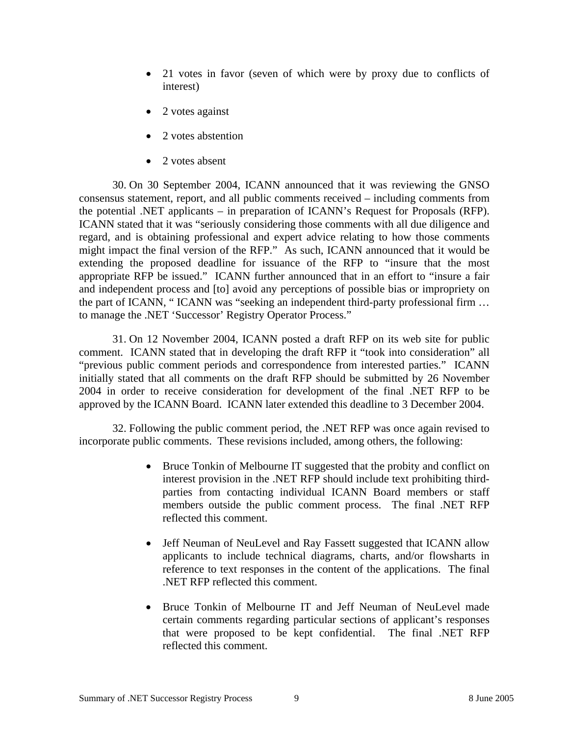- 21 votes in favor (seven of which were by proxy due to conflicts of interest)
- 2 votes against
- 2 votes abstention
- 2 votes absent

30. On 30 September 2004, ICANN announced that it was reviewing the GNSO consensus statement, report, and all public comments received – including comments from the potential .NET applicants – in preparation of ICANN's Request for Proposals (RFP). ICANN stated that it was "seriously considering those comments with all due diligence and regard, and is obtaining professional and expert advice relating to how those comments might impact the final version of the RFP." As such, ICANN announced that it would be extending the proposed deadline for issuance of the RFP to "insure that the most appropriate RFP be issued." ICANN further announced that in an effort to "insure a fair and independent process and [to] avoid any perceptions of possible bias or impropriety on the part of ICANN, " ICANN was "seeking an independent third-party professional firm … to manage the .NET 'Successor' Registry Operator Process."

31. On 12 November 2004, ICANN posted a draft RFP on its web site for public comment. ICANN stated that in developing the draft RFP it "took into consideration" all "previous public comment periods and correspondence from interested parties." ICANN initially stated that all comments on the draft RFP should be submitted by 26 November 2004 in order to receive consideration for development of the final .NET RFP to be approved by the ICANN Board. ICANN later extended this deadline to 3 December 2004.

32. Following the public comment period, the .NET RFP was once again revised to incorporate public comments. These revisions included, among others, the following:

- Bruce Tonkin of Melbourne IT suggested that the probity and conflict on interest provision in the .NET RFP should include text prohibiting thirdparties from contacting individual ICANN Board members or staff members outside the public comment process. The final .NET RFP reflected this comment.
- Jeff Neuman of NeuLevel and Ray Fassett suggested that ICANN allow applicants to include technical diagrams, charts, and/or flowsharts in reference to text responses in the content of the applications. The final .NET RFP reflected this comment.
- Bruce Tonkin of Melbourne IT and Jeff Neuman of NeuLevel made certain comments regarding particular sections of applicant's responses that were proposed to be kept confidential. The final .NET RFP reflected this comment.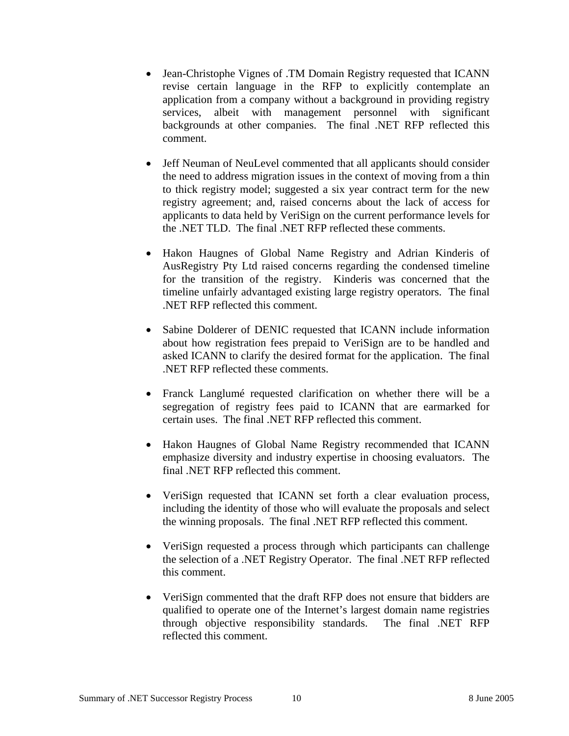- Jean-Christophe Vignes of .TM Domain Registry requested that ICANN revise certain language in the RFP to explicitly contemplate an application from a company without a background in providing registry services, albeit with management personnel with significant backgrounds at other companies. The final .NET RFP reflected this comment.
- Jeff Neuman of NeuLevel commented that all applicants should consider the need to address migration issues in the context of moving from a thin to thick registry model; suggested a six year contract term for the new registry agreement; and, raised concerns about the lack of access for applicants to data held by VeriSign on the current performance levels for the .NET TLD. The final .NET RFP reflected these comments.
- Hakon Haugnes of Global Name Registry and Adrian Kinderis of AusRegistry Pty Ltd raised concerns regarding the condensed timeline for the transition of the registry. Kinderis was concerned that the timeline unfairly advantaged existing large registry operators. The final .NET RFP reflected this comment.
- Sabine Dolderer of DENIC requested that ICANN include information about how registration fees prepaid to VeriSign are to be handled and asked ICANN to clarify the desired format for the application. The final .NET RFP reflected these comments.
- Franck Langlumé requested clarification on whether there will be a segregation of registry fees paid to ICANN that are earmarked for certain uses. The final .NET RFP reflected this comment.
- Hakon Haugnes of Global Name Registry recommended that ICANN emphasize diversity and industry expertise in choosing evaluators. The final .NET RFP reflected this comment.
- VeriSign requested that ICANN set forth a clear evaluation process, including the identity of those who will evaluate the proposals and select the winning proposals. The final .NET RFP reflected this comment.
- VeriSign requested a process through which participants can challenge the selection of a .NET Registry Operator. The final .NET RFP reflected this comment.
- VeriSign commented that the draft RFP does not ensure that bidders are qualified to operate one of the Internet's largest domain name registries through objective responsibility standards. The final .NET RFP reflected this comment.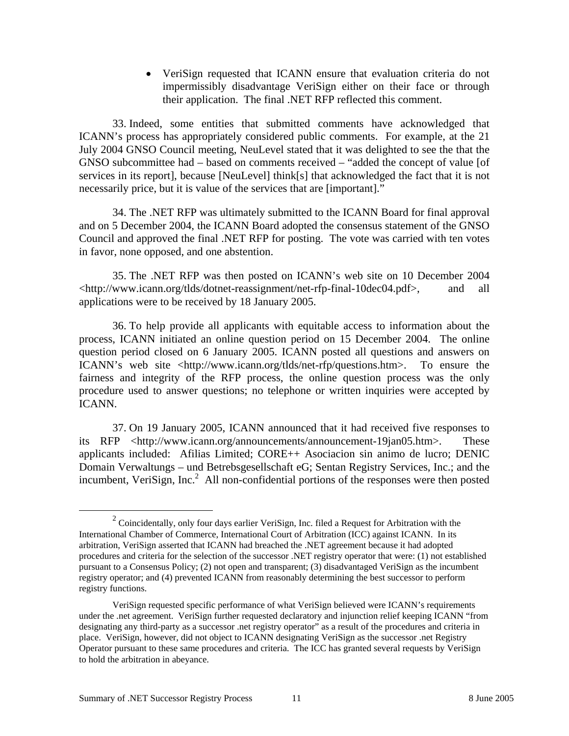• VeriSign requested that ICANN ensure that evaluation criteria do not impermissibly disadvantage VeriSign either on their face or through their application. The final .NET RFP reflected this comment.

33. Indeed, some entities that submitted comments have acknowledged that ICANN's process has appropriately considered public comments. For example, at the 21 July 2004 GNSO Council meeting, NeuLevel stated that it was delighted to see the that the GNSO subcommittee had – based on comments received – "added the concept of value [of services in its report], because [NeuLevel] think[s] that acknowledged the fact that it is not necessarily price, but it is value of the services that are [important]."

34. The .NET RFP was ultimately submitted to the ICANN Board for final approval and on 5 December 2004, the ICANN Board adopted the consensus statement of the GNSO Council and approved the final .NET RFP for posting. The vote was carried with ten votes in favor, none opposed, and one abstention.

35. The .NET RFP was then posted on ICANN's web site on 10 December 2004 <http://www.icann.org/tlds/dotnet-reassignment/net-rfp-final-10dec04.pdf>, and all applications were to be received by 18 January 2005.

36. To help provide all applicants with equitable access to information about the process, ICANN initiated an online question period on 15 December 2004. The online question period closed on 6 January 2005. ICANN posted all questions and answers on ICANN's web site <http://www.icann.org/tlds/net-rfp/questions.htm>. To ensure the fairness and integrity of the RFP process, the online question process was the only procedure used to answer questions; no telephone or written inquiries were accepted by ICANN.

37. On 19 January 2005, ICANN announced that it had received five responses to its RFP <http://www.icann.org/announcements/announcement-19jan05.htm>. These applicants included: Afilias Limited; CORE++ Asociacion sin animo de lucro; DENIC Domain Verwaltungs – und Betrebsgesellschaft eG; Sentan Registry Services, Inc.; and the incumbent, VeriSign, Inc.<sup>2</sup> All non-confidential portions of the responses were then posted

 $\frac{1}{2}$  $2$  Coincidentally, only four days earlier VeriSign, Inc. filed a Request for Arbitration with the International Chamber of Commerce, International Court of Arbitration (ICC) against ICANN. In its arbitration, VeriSign asserted that ICANN had breached the .NET agreement because it had adopted procedures and criteria for the selection of the successor .NET registry operator that were: (1) not established pursuant to a Consensus Policy; (2) not open and transparent; (3) disadvantaged VeriSign as the incumbent registry operator; and (4) prevented ICANN from reasonably determining the best successor to perform registry functions.

VeriSign requested specific performance of what VeriSign believed were ICANN's requirements under the .net agreement. VeriSign further requested declaratory and injunction relief keeping ICANN "from designating any third-party as a successor .net registry operator" as a result of the procedures and criteria in place. VeriSign, however, did not object to ICANN designating VeriSign as the successor .net Registry Operator pursuant to these same procedures and criteria. The ICC has granted several requests by VeriSign to hold the arbitration in abeyance.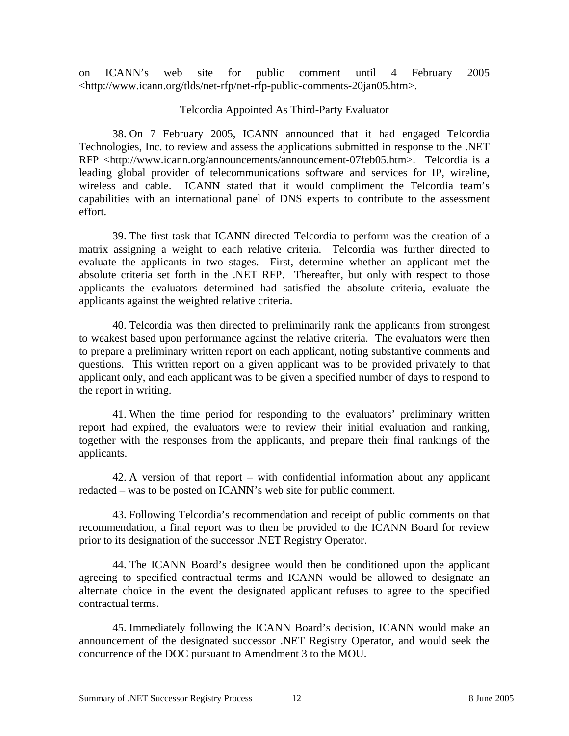on ICANN's web site for public comment until 4 February 2005 <http://www.icann.org/tlds/net-rfp/net-rfp-public-comments-20jan05.htm>.

## Telcordia Appointed As Third-Party Evaluator

38. On 7 February 2005, ICANN announced that it had engaged Telcordia Technologies, Inc. to review and assess the applications submitted in response to the .NET RFP <http://www.icann.org/announcements/announcement-07feb05.htm>. Telcordia is a leading global provider of telecommunications software and services for IP, wireline, wireless and cable. ICANN stated that it would compliment the Telcordia team's capabilities with an international panel of DNS experts to contribute to the assessment effort.

39. The first task that ICANN directed Telcordia to perform was the creation of a matrix assigning a weight to each relative criteria. Telcordia was further directed to evaluate the applicants in two stages. First, determine whether an applicant met the absolute criteria set forth in the .NET RFP. Thereafter, but only with respect to those applicants the evaluators determined had satisfied the absolute criteria, evaluate the applicants against the weighted relative criteria.

40. Telcordia was then directed to preliminarily rank the applicants from strongest to weakest based upon performance against the relative criteria. The evaluators were then to prepare a preliminary written report on each applicant, noting substantive comments and questions. This written report on a given applicant was to be provided privately to that applicant only, and each applicant was to be given a specified number of days to respond to the report in writing.

41. When the time period for responding to the evaluators' preliminary written report had expired, the evaluators were to review their initial evaluation and ranking, together with the responses from the applicants, and prepare their final rankings of the applicants.

42. A version of that report – with confidential information about any applicant redacted – was to be posted on ICANN's web site for public comment.

43. Following Telcordia's recommendation and receipt of public comments on that recommendation, a final report was to then be provided to the ICANN Board for review prior to its designation of the successor .NET Registry Operator.

44. The ICANN Board's designee would then be conditioned upon the applicant agreeing to specified contractual terms and ICANN would be allowed to designate an alternate choice in the event the designated applicant refuses to agree to the specified contractual terms.

45. Immediately following the ICANN Board's decision, ICANN would make an announcement of the designated successor .NET Registry Operator, and would seek the concurrence of the DOC pursuant to Amendment 3 to the MOU.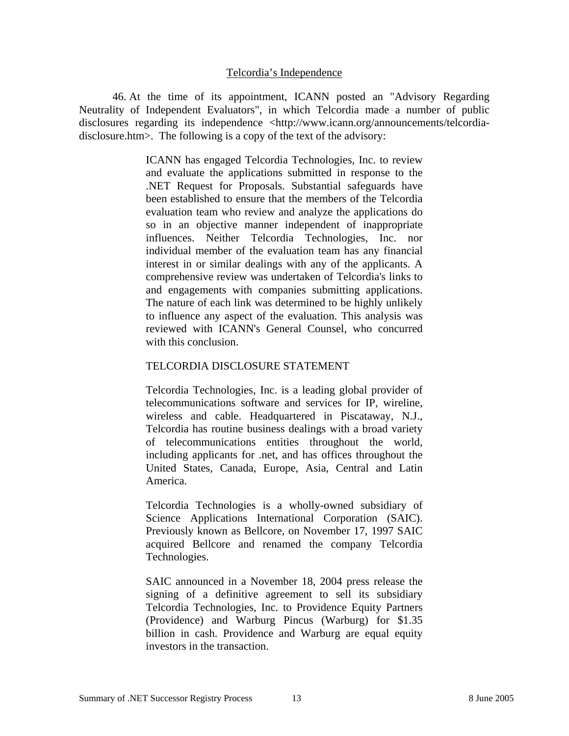#### Telcordia's Independence

46. At the time of its appointment, ICANN posted an "Advisory Regarding Neutrality of Independent Evaluators", in which Telcordia made a number of public disclosures regarding its independence <http://www.icann.org/announcements/telcordiadisclosure.htm>. The following is a copy of the text of the advisory:

> ICANN has engaged Telcordia Technologies, Inc. to review and evaluate the applications submitted in response to the .NET Request for Proposals. Substantial safeguards have been established to ensure that the members of the Telcordia evaluation team who review and analyze the applications do so in an objective manner independent of inappropriate influences. Neither Telcordia Technologies, Inc. nor individual member of the evaluation team has any financial interest in or similar dealings with any of the applicants. A comprehensive review was undertaken of Telcordia's links to and engagements with companies submitting applications. The nature of each link was determined to be highly unlikely to influence any aspect of the evaluation. This analysis was reviewed with ICANN's General Counsel, who concurred with this conclusion.

### TELCORDIA DISCLOSURE STATEMENT

Telcordia Technologies, Inc. is a leading global provider of telecommunications software and services for IP, wireline, wireless and cable. Headquartered in Piscataway, N.J., Telcordia has routine business dealings with a broad variety of telecommunications entities throughout the world, including applicants for .net, and has offices throughout the United States, Canada, Europe, Asia, Central and Latin America.

Telcordia Technologies is a wholly-owned subsidiary of Science Applications International Corporation (SAIC). Previously known as Bellcore, on November 17, 1997 SAIC acquired Bellcore and renamed the company Telcordia Technologies.

SAIC announced in a November 18, 2004 press release the signing of a definitive agreement to sell its subsidiary Telcordia Technologies, Inc. to Providence Equity Partners (Providence) and Warburg Pincus (Warburg) for \$1.35 billion in cash. Providence and Warburg are equal equity investors in the transaction.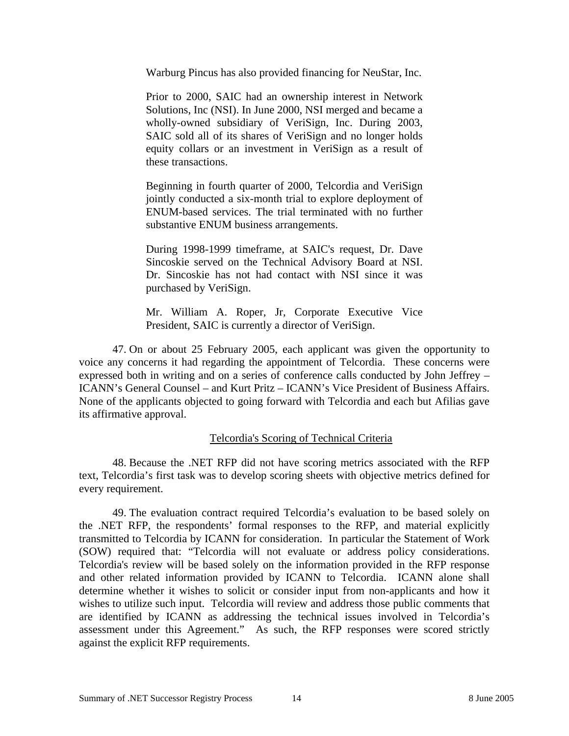Warburg Pincus has also provided financing for NeuStar, Inc.

Prior to 2000, SAIC had an ownership interest in Network Solutions, Inc (NSI). In June 2000, NSI merged and became a wholly-owned subsidiary of VeriSign, Inc. During 2003, SAIC sold all of its shares of VeriSign and no longer holds equity collars or an investment in VeriSign as a result of these transactions.

Beginning in fourth quarter of 2000, Telcordia and VeriSign jointly conducted a six-month trial to explore deployment of ENUM-based services. The trial terminated with no further substantive ENUM business arrangements.

During 1998-1999 timeframe, at SAIC's request, Dr. Dave Sincoskie served on the Technical Advisory Board at NSI. Dr. Sincoskie has not had contact with NSI since it was purchased by VeriSign.

Mr. William A. Roper, Jr, Corporate Executive Vice President, SAIC is currently a director of VeriSign.

47. On or about 25 February 2005, each applicant was given the opportunity to voice any concerns it had regarding the appointment of Telcordia. These concerns were expressed both in writing and on a series of conference calls conducted by John Jeffrey – ICANN's General Counsel – and Kurt Pritz – ICANN's Vice President of Business Affairs. None of the applicants objected to going forward with Telcordia and each but Afilias gave its affirmative approval.

## Telcordia's Scoring of Technical Criteria

48. Because the .NET RFP did not have scoring metrics associated with the RFP text, Telcordia's first task was to develop scoring sheets with objective metrics defined for every requirement.

49. The evaluation contract required Telcordia's evaluation to be based solely on the .NET RFP, the respondents' formal responses to the RFP, and material explicitly transmitted to Telcordia by ICANN for consideration. In particular the Statement of Work (SOW) required that: "Telcordia will not evaluate or address policy considerations. Telcordia's review will be based solely on the information provided in the RFP response and other related information provided by ICANN to Telcordia. ICANN alone shall determine whether it wishes to solicit or consider input from non-applicants and how it wishes to utilize such input. Telcordia will review and address those public comments that are identified by ICANN as addressing the technical issues involved in Telcordia's assessment under this Agreement." As such, the RFP responses were scored strictly against the explicit RFP requirements.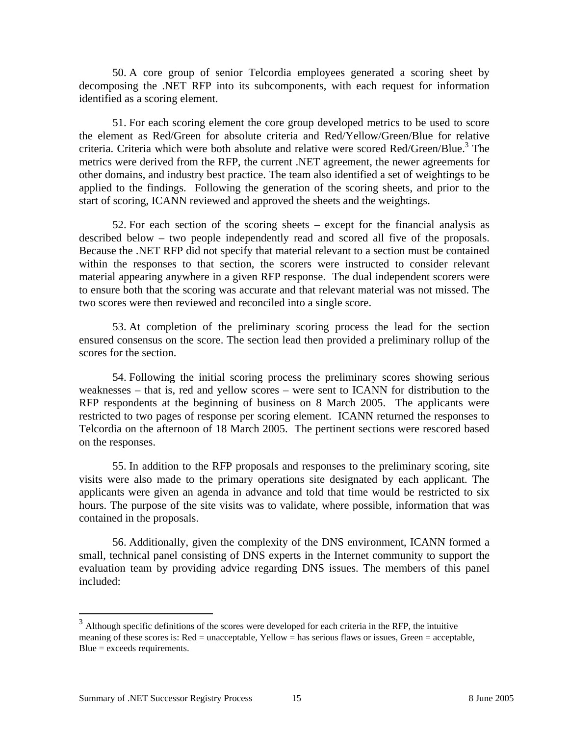50. A core group of senior Telcordia employees generated a scoring sheet by decomposing the .NET RFP into its subcomponents, with each request for information identified as a scoring element.

51. For each scoring element the core group developed metrics to be used to score the element as Red/Green for absolute criteria and Red/Yellow/Green/Blue for relative criteria. Criteria which were both absolute and relative were scored Red/Green/Blue.<sup>3</sup> The metrics were derived from the RFP, the current .NET agreement, the newer agreements for other domains, and industry best practice. The team also identified a set of weightings to be applied to the findings. Following the generation of the scoring sheets, and prior to the start of scoring, ICANN reviewed and approved the sheets and the weightings.

52. For each section of the scoring sheets – except for the financial analysis as described below – two people independently read and scored all five of the proposals. Because the .NET RFP did not specify that material relevant to a section must be contained within the responses to that section, the scorers were instructed to consider relevant material appearing anywhere in a given RFP response. The dual independent scorers were to ensure both that the scoring was accurate and that relevant material was not missed. The two scores were then reviewed and reconciled into a single score.

53. At completion of the preliminary scoring process the lead for the section ensured consensus on the score. The section lead then provided a preliminary rollup of the scores for the section.

54. Following the initial scoring process the preliminary scores showing serious weaknesses – that is, red and yellow scores – were sent to ICANN for distribution to the RFP respondents at the beginning of business on 8 March 2005. The applicants were restricted to two pages of response per scoring element. ICANN returned the responses to Telcordia on the afternoon of 18 March 2005. The pertinent sections were rescored based on the responses.

55. In addition to the RFP proposals and responses to the preliminary scoring, site visits were also made to the primary operations site designated by each applicant. The applicants were given an agenda in advance and told that time would be restricted to six hours. The purpose of the site visits was to validate, where possible, information that was contained in the proposals.

56. Additionally, given the complexity of the DNS environment, ICANN formed a small, technical panel consisting of DNS experts in the Internet community to support the evaluation team by providing advice regarding DNS issues. The members of this panel included:

<u>.</u>

 $3$  Although specific definitions of the scores were developed for each criteria in the RFP, the intuitive meaning of these scores is: Red = unacceptable, Yellow = has serious flaws or issues, Green = acceptable, Blue = exceeds requirements.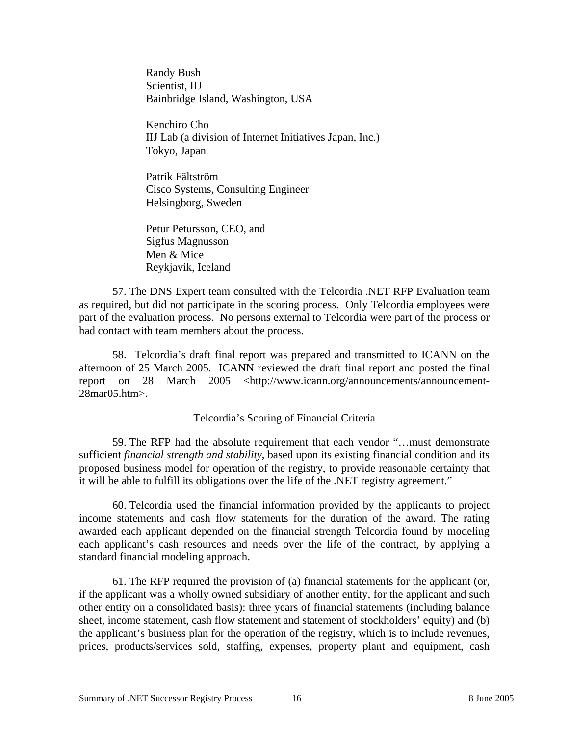Randy Bush Scientist, IIJ Bainbridge Island, Washington, USA

Kenchiro Cho IIJ Lab (a division of Internet Initiatives Japan, Inc.) Tokyo, Japan

Patrik Fältström Cisco Systems, Consulting Engineer Helsingborg, Sweden

Petur Petursson, CEO, and Sigfus Magnusson Men & Mice Reykjavik, Iceland

57. The DNS Expert team consulted with the Telcordia .NET RFP Evaluation team as required, but did not participate in the scoring process. Only Telcordia employees were part of the evaluation process. No persons external to Telcordia were part of the process or had contact with team members about the process.

58. Telcordia's draft final report was prepared and transmitted to ICANN on the afternoon of 25 March 2005. ICANN reviewed the draft final report and posted the final report on 28 March 2005 <http://www.icann.org/announcements/announcement-28mar05.htm>.

## Telcordia's Scoring of Financial Criteria

59. The RFP had the absolute requirement that each vendor "…must demonstrate sufficient *financial strength and stability*, based upon its existing financial condition and its proposed business model for operation of the registry, to provide reasonable certainty that it will be able to fulfill its obligations over the life of the .NET registry agreement."

60. Telcordia used the financial information provided by the applicants to project income statements and cash flow statements for the duration of the award. The rating awarded each applicant depended on the financial strength Telcordia found by modeling each applicant's cash resources and needs over the life of the contract, by applying a standard financial modeling approach.

61. The RFP required the provision of (a) financial statements for the applicant (or, if the applicant was a wholly owned subsidiary of another entity, for the applicant and such other entity on a consolidated basis): three years of financial statements (including balance sheet, income statement, cash flow statement and statement of stockholders' equity) and (b) the applicant's business plan for the operation of the registry, which is to include revenues, prices, products/services sold, staffing, expenses, property plant and equipment, cash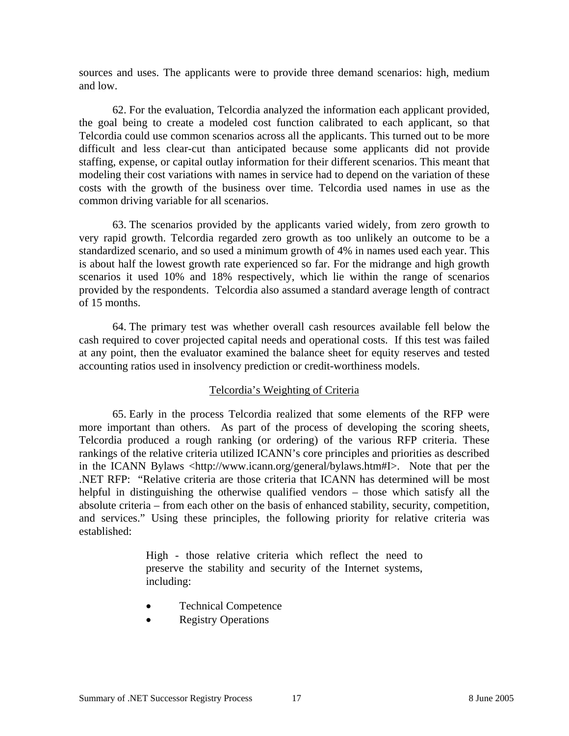sources and uses. The applicants were to provide three demand scenarios: high, medium and low.

62. For the evaluation, Telcordia analyzed the information each applicant provided, the goal being to create a modeled cost function calibrated to each applicant, so that Telcordia could use common scenarios across all the applicants. This turned out to be more difficult and less clear-cut than anticipated because some applicants did not provide staffing, expense, or capital outlay information for their different scenarios. This meant that modeling their cost variations with names in service had to depend on the variation of these costs with the growth of the business over time. Telcordia used names in use as the common driving variable for all scenarios.

63. The scenarios provided by the applicants varied widely, from zero growth to very rapid growth. Telcordia regarded zero growth as too unlikely an outcome to be a standardized scenario, and so used a minimum growth of 4% in names used each year. This is about half the lowest growth rate experienced so far. For the midrange and high growth scenarios it used 10% and 18% respectively, which lie within the range of scenarios provided by the respondents. Telcordia also assumed a standard average length of contract of 15 months.

64. The primary test was whether overall cash resources available fell below the cash required to cover projected capital needs and operational costs. If this test was failed at any point, then the evaluator examined the balance sheet for equity reserves and tested accounting ratios used in insolvency prediction or credit-worthiness models.

## Telcordia's Weighting of Criteria

65. Early in the process Telcordia realized that some elements of the RFP were more important than others. As part of the process of developing the scoring sheets, Telcordia produced a rough ranking (or ordering) of the various RFP criteria. These rankings of the relative criteria utilized ICANN's core principles and priorities as described in the ICANN Bylaws <http://www.icann.org/general/bylaws.htm#I>. Note that per the .NET RFP: "Relative criteria are those criteria that ICANN has determined will be most helpful in distinguishing the otherwise qualified vendors – those which satisfy all the absolute criteria – from each other on the basis of enhanced stability, security, competition, and services." Using these principles, the following priority for relative criteria was established:

> High - those relative criteria which reflect the need to preserve the stability and security of the Internet systems, including:

- Technical Competence
- Registry Operations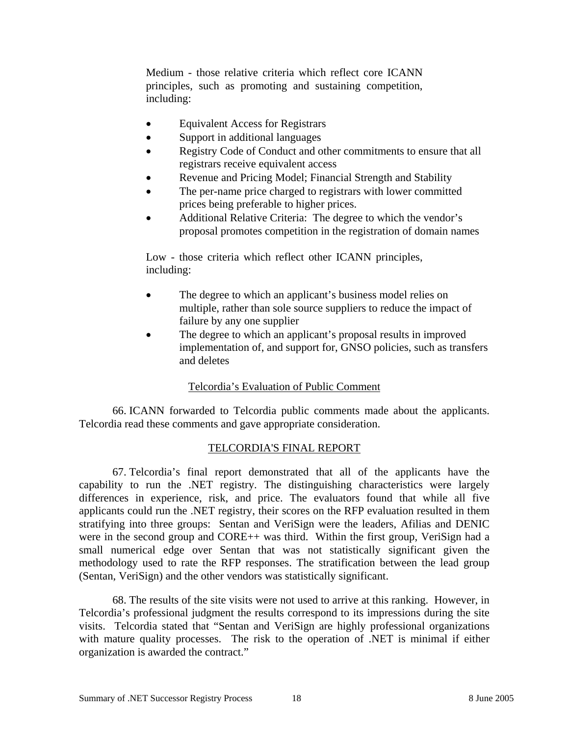Medium - those relative criteria which reflect core ICANN principles, such as promoting and sustaining competition, including:

- Equivalent Access for Registrars
- Support in additional languages
- Registry Code of Conduct and other commitments to ensure that all registrars receive equivalent access
- Revenue and Pricing Model; Financial Strength and Stability
- The per-name price charged to registrars with lower committed prices being preferable to higher prices.
- Additional Relative Criteria: The degree to which the vendor's proposal promotes competition in the registration of domain names

Low - those criteria which reflect other ICANN principles, including:

- The degree to which an applicant's business model relies on multiple, rather than sole source suppliers to reduce the impact of failure by any one supplier
- The degree to which an applicant's proposal results in improved implementation of, and support for, GNSO policies, such as transfers and deletes

# Telcordia's Evaluation of Public Comment

66. ICANN forwarded to Telcordia public comments made about the applicants. Telcordia read these comments and gave appropriate consideration.

# TELCORDIA'S FINAL REPORT

67. Telcordia's final report demonstrated that all of the applicants have the capability to run the .NET registry. The distinguishing characteristics were largely differences in experience, risk, and price. The evaluators found that while all five applicants could run the .NET registry, their scores on the RFP evaluation resulted in them stratifying into three groups: Sentan and VeriSign were the leaders, Afilias and DENIC were in the second group and CORE++ was third. Within the first group, VeriSign had a small numerical edge over Sentan that was not statistically significant given the methodology used to rate the RFP responses. The stratification between the lead group (Sentan, VeriSign) and the other vendors was statistically significant.

68. The results of the site visits were not used to arrive at this ranking. However, in Telcordia's professional judgment the results correspond to its impressions during the site visits. Telcordia stated that "Sentan and VeriSign are highly professional organizations with mature quality processes. The risk to the operation of .NET is minimal if either organization is awarded the contract."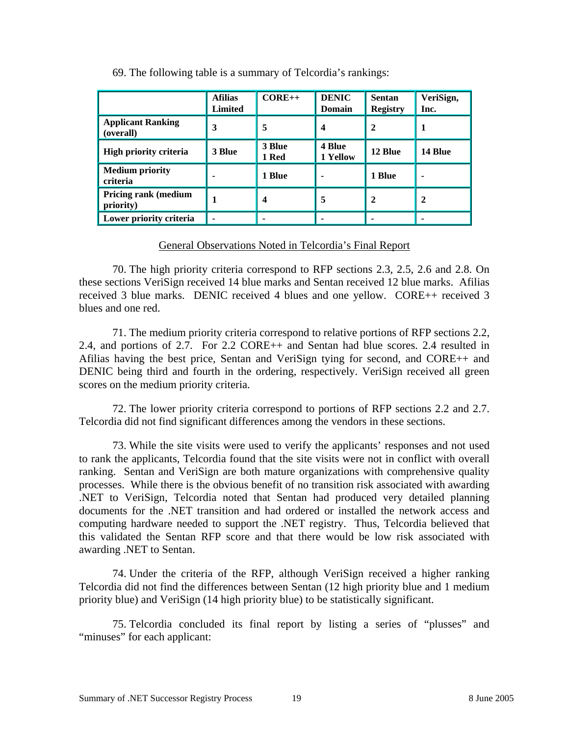|                                          | <b>Afilias</b><br><b>Limited</b> | $CORE++$                | <b>DENIC</b><br><b>Domain</b> | <b>Sentan</b><br><b>Registry</b> | VeriSign,<br>Inc. |
|------------------------------------------|----------------------------------|-------------------------|-------------------------------|----------------------------------|-------------------|
| <b>Applicant Ranking</b><br>(overall)    | 3                                | 5                       | 4                             | 2                                | 1                 |
| High priority criteria                   | 3 Blue                           | 3 Blue<br>1 Red         | <b>4 Blue</b><br>1 Yellow     | 12 Blue                          | 14 Blue           |
| <b>Medium priority</b><br>criteria       |                                  | 1 Blue                  |                               | 1 Blue                           |                   |
| <b>Pricing rank (medium</b><br>priority) |                                  | $\overline{\mathbf{4}}$ | 5                             | 2                                | 2                 |
| Lower priority criteria                  |                                  |                         |                               |                                  |                   |

69. The following table is a summary of Telcordia's rankings:

## General Observations Noted in Telcordia's Final Report

70. The high priority criteria correspond to RFP sections 2.3, 2.5, 2.6 and 2.8. On these sections VeriSign received 14 blue marks and Sentan received 12 blue marks. Afilias received 3 blue marks. DENIC received 4 blues and one yellow. CORE++ received 3 blues and one red.

71. The medium priority criteria correspond to relative portions of RFP sections 2.2, 2.4, and portions of 2.7. For 2.2 CORE++ and Sentan had blue scores. 2.4 resulted in Afilias having the best price, Sentan and VeriSign tying for second, and CORE++ and DENIC being third and fourth in the ordering, respectively. VeriSign received all green scores on the medium priority criteria.

72. The lower priority criteria correspond to portions of RFP sections 2.2 and 2.7. Telcordia did not find significant differences among the vendors in these sections.

73. While the site visits were used to verify the applicants' responses and not used to rank the applicants, Telcordia found that the site visits were not in conflict with overall ranking. Sentan and VeriSign are both mature organizations with comprehensive quality processes. While there is the obvious benefit of no transition risk associated with awarding .NET to VeriSign, Telcordia noted that Sentan had produced very detailed planning documents for the .NET transition and had ordered or installed the network access and computing hardware needed to support the .NET registry. Thus, Telcordia believed that this validated the Sentan RFP score and that there would be low risk associated with awarding .NET to Sentan.

74. Under the criteria of the RFP, although VeriSign received a higher ranking Telcordia did not find the differences between Sentan (12 high priority blue and 1 medium priority blue) and VeriSign (14 high priority blue) to be statistically significant.

75. Telcordia concluded its final report by listing a series of "plusses" and "minuses" for each applicant: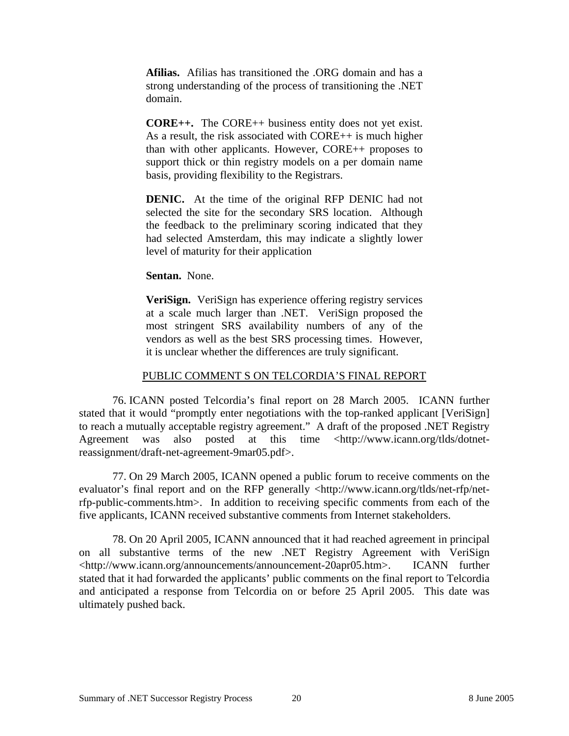**Afilias.** Afilias has transitioned the .ORG domain and has a strong understanding of the process of transitioning the .NET domain.

**CORE++.** The CORE++ business entity does not yet exist. As a result, the risk associated with CORE++ is much higher than with other applicants. However, CORE++ proposes to support thick or thin registry models on a per domain name basis, providing flexibility to the Registrars.

**DENIC.** At the time of the original RFP DENIC had not selected the site for the secondary SRS location. Although the feedback to the preliminary scoring indicated that they had selected Amsterdam, this may indicate a slightly lower level of maturity for their application

**Sentan.** None.

**VeriSign.** VeriSign has experience offering registry services at a scale much larger than .NET. VeriSign proposed the most stringent SRS availability numbers of any of the vendors as well as the best SRS processing times. However, it is unclear whether the differences are truly significant.

# PUBLIC COMMENT S ON TELCORDIA'S FINAL REPORT

76. ICANN posted Telcordia's final report on 28 March 2005. ICANN further stated that it would "promptly enter negotiations with the top-ranked applicant [VeriSign] to reach a mutually acceptable registry agreement." A draft of the proposed .NET Registry Agreement was also posted at this time <http://www.icann.org/tlds/dotnetreassignment/draft-net-agreement-9mar05.pdf>.

77. On 29 March 2005, ICANN opened a public forum to receive comments on the evaluator's final report and on the RFP generally <http://www.icann.org/tlds/net-rfp/netrfp-public-comments.htm>. In addition to receiving specific comments from each of the five applicants, ICANN received substantive comments from Internet stakeholders.

78. On 20 April 2005, ICANN announced that it had reached agreement in principal on all substantive terms of the new .NET Registry Agreement with VeriSign <http://www.icann.org/announcements/announcement-20apr05.htm>. ICANN further stated that it had forwarded the applicants' public comments on the final report to Telcordia and anticipated a response from Telcordia on or before 25 April 2005. This date was ultimately pushed back.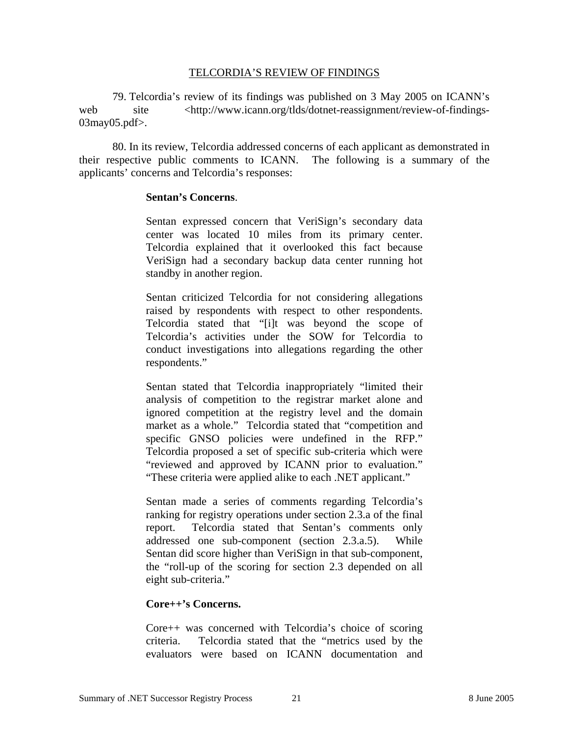#### TELCORDIA'S REVIEW OF FINDINGS

79. Telcordia's review of its findings was published on 3 May 2005 on ICANN's web site <http://www.icann.org/tlds/dotnet-reassignment/review-of-findings-03may05.pdf>.

80. In its review, Telcordia addressed concerns of each applicant as demonstrated in their respective public comments to ICANN. The following is a summary of the applicants' concerns and Telcordia's responses:

### **Sentan's Concerns**.

Sentan expressed concern that VeriSign's secondary data center was located 10 miles from its primary center. Telcordia explained that it overlooked this fact because VeriSign had a secondary backup data center running hot standby in another region.

Sentan criticized Telcordia for not considering allegations raised by respondents with respect to other respondents. Telcordia stated that "[i]t was beyond the scope of Telcordia's activities under the SOW for Telcordia to conduct investigations into allegations regarding the other respondents."

Sentan stated that Telcordia inappropriately "limited their analysis of competition to the registrar market alone and ignored competition at the registry level and the domain market as a whole." Telcordia stated that "competition and specific GNSO policies were undefined in the RFP." Telcordia proposed a set of specific sub-criteria which were "reviewed and approved by ICANN prior to evaluation." "These criteria were applied alike to each .NET applicant."

Sentan made a series of comments regarding Telcordia's ranking for registry operations under section 2.3.a of the final report. Telcordia stated that Sentan's comments only addressed one sub-component (section 2.3.a.5). While Sentan did score higher than VeriSign in that sub-component, the "roll-up of the scoring for section 2.3 depended on all eight sub-criteria."

## **Core++'s Concerns.**

Core++ was concerned with Telcordia's choice of scoring criteria. Telcordia stated that the "metrics used by the evaluators were based on ICANN documentation and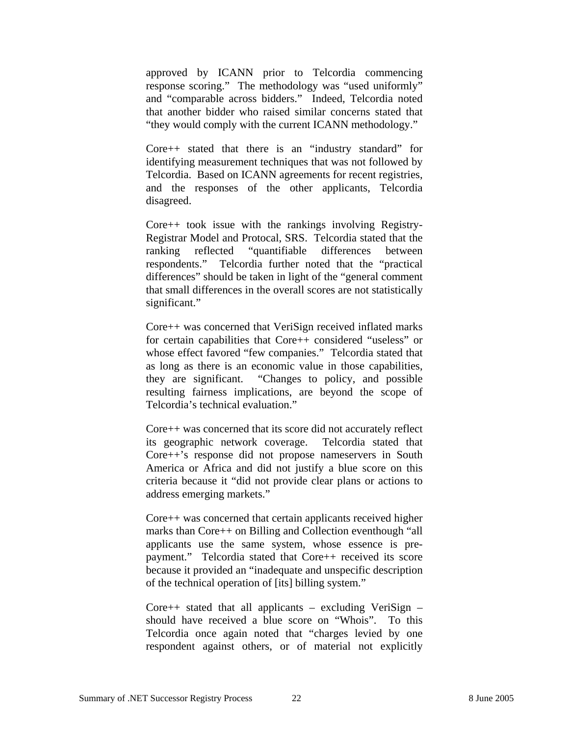approved by ICANN prior to Telcordia commencing response scoring." The methodology was "used uniformly" and "comparable across bidders." Indeed, Telcordia noted that another bidder who raised similar concerns stated that "they would comply with the current ICANN methodology."

Core++ stated that there is an "industry standard" for identifying measurement techniques that was not followed by Telcordia. Based on ICANN agreements for recent registries, and the responses of the other applicants, Telcordia disagreed.

Core++ took issue with the rankings involving Registry-Registrar Model and Protocal, SRS. Telcordia stated that the ranking reflected "quantifiable differences between respondents." Telcordia further noted that the "practical differences" should be taken in light of the "general comment that small differences in the overall scores are not statistically significant."

Core++ was concerned that VeriSign received inflated marks for certain capabilities that Core++ considered "useless" or whose effect favored "few companies." Telcordia stated that as long as there is an economic value in those capabilities, they are significant. "Changes to policy, and possible resulting fairness implications, are beyond the scope of Telcordia's technical evaluation."

Core++ was concerned that its score did not accurately reflect its geographic network coverage. Telcordia stated that Core++'s response did not propose nameservers in South America or Africa and did not justify a blue score on this criteria because it "did not provide clear plans or actions to address emerging markets."

Core++ was concerned that certain applicants received higher marks than Core++ on Billing and Collection eventhough "all applicants use the same system, whose essence is prepayment." Telcordia stated that Core++ received its score because it provided an "inadequate and unspecific description of the technical operation of [its] billing system."

Core $++$  stated that all applicants – excluding VeriSign – should have received a blue score on "Whois". To this Telcordia once again noted that "charges levied by one respondent against others, or of material not explicitly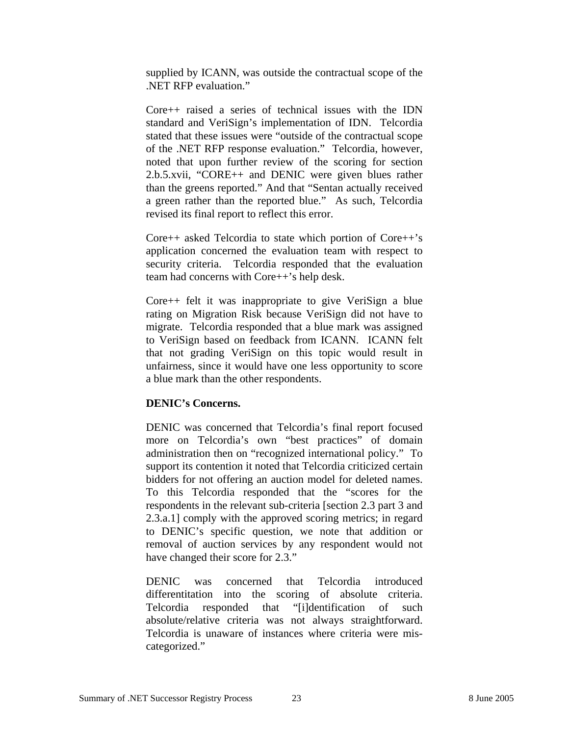supplied by ICANN, was outside the contractual scope of the .NET RFP evaluation."

Core++ raised a series of technical issues with the IDN standard and VeriSign's implementation of IDN. Telcordia stated that these issues were "outside of the contractual scope of the .NET RFP response evaluation." Telcordia, however, noted that upon further review of the scoring for section 2.b.5.xvii, "CORE++ and DENIC were given blues rather than the greens reported." And that "Sentan actually received a green rather than the reported blue." As such, Telcordia revised its final report to reflect this error.

Core++ asked Telcordia to state which portion of Core++'s application concerned the evaluation team with respect to security criteria. Telcordia responded that the evaluation team had concerns with Core++'s help desk.

Core++ felt it was inappropriate to give VeriSign a blue rating on Migration Risk because VeriSign did not have to migrate. Telcordia responded that a blue mark was assigned to VeriSign based on feedback from ICANN. ICANN felt that not grading VeriSign on this topic would result in unfairness, since it would have one less opportunity to score a blue mark than the other respondents.

## **DENIC's Concerns.**

DENIC was concerned that Telcordia's final report focused more on Telcordia's own "best practices" of domain administration then on "recognized international policy." To support its contention it noted that Telcordia criticized certain bidders for not offering an auction model for deleted names. To this Telcordia responded that the "scores for the respondents in the relevant sub-criteria [section 2.3 part 3 and 2.3.a.1] comply with the approved scoring metrics; in regard to DENIC's specific question, we note that addition or removal of auction services by any respondent would not have changed their score for 2.3."

DENIC was concerned that Telcordia introduced differentitation into the scoring of absolute criteria. Telcordia responded that "[i]dentification of such absolute/relative criteria was not always straightforward. Telcordia is unaware of instances where criteria were miscategorized."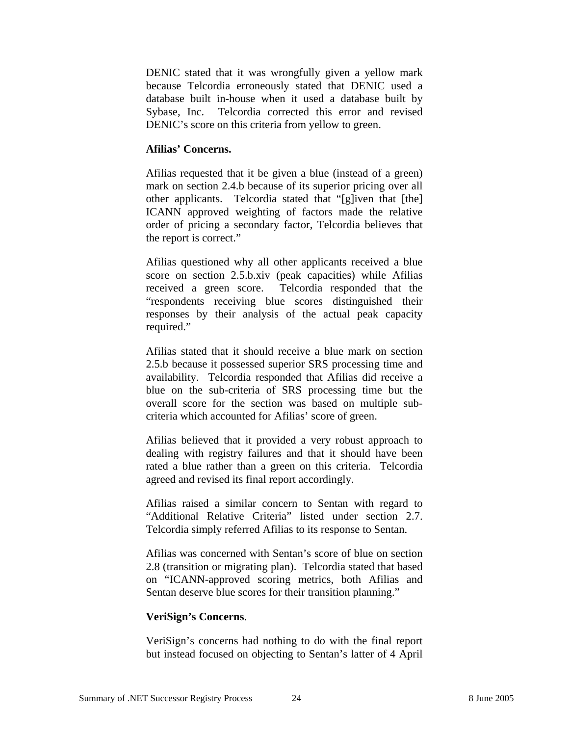DENIC stated that it was wrongfully given a yellow mark because Telcordia erroneously stated that DENIC used a database built in-house when it used a database built by Sybase, Inc. Telcordia corrected this error and revised DENIC's score on this criteria from yellow to green.

## **Afilias' Concerns.**

Afilias requested that it be given a blue (instead of a green) mark on section 2.4.b because of its superior pricing over all other applicants. Telcordia stated that "[g]iven that [the] ICANN approved weighting of factors made the relative order of pricing a secondary factor, Telcordia believes that the report is correct."

Afilias questioned why all other applicants received a blue score on section 2.5.b.xiv (peak capacities) while Afilias received a green score. Telcordia responded that the "respondents receiving blue scores distinguished their responses by their analysis of the actual peak capacity required."

Afilias stated that it should receive a blue mark on section 2.5.b because it possessed superior SRS processing time and availability. Telcordia responded that Afilias did receive a blue on the sub-criteria of SRS processing time but the overall score for the section was based on multiple subcriteria which accounted for Afilias' score of green.

Afilias believed that it provided a very robust approach to dealing with registry failures and that it should have been rated a blue rather than a green on this criteria. Telcordia agreed and revised its final report accordingly.

Afilias raised a similar concern to Sentan with regard to "Additional Relative Criteria" listed under section 2.7. Telcordia simply referred Afilias to its response to Sentan.

Afilias was concerned with Sentan's score of blue on section 2.8 (transition or migrating plan). Telcordia stated that based on "ICANN-approved scoring metrics, both Afilias and Sentan deserve blue scores for their transition planning."

## **VeriSign's Concerns**.

VeriSign's concerns had nothing to do with the final report but instead focused on objecting to Sentan's latter of 4 April